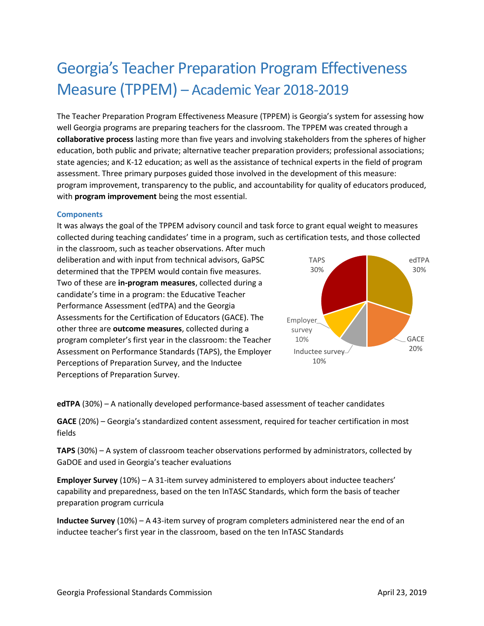# Georgia's Teacher Preparation Program Effectiveness Measure (TPPEM) – Academic Year 2018-2019

The Teacher Preparation Program Effectiveness Measure (TPPEM) is Georgia's system for assessing how well Georgia programs are preparing teachers for the classroom. The TPPEM was created through a **collaborative process** lasting more than five years and involving stakeholders from the spheres of higher education, both public and private; alternative teacher preparation providers; professional associations; state agencies; and K-12 education; as well as the assistance of technical experts in the field of program assessment. Three primary purposes guided those involved in the development of this measure: program improvement, transparency to the public, and accountability for quality of educators produced, with **program improvement** being the most essential.

## **Components**

It was always the goal of the TPPEM advisory council and task force to grant equal weight to measures collected during teaching candidates' time in a program, such as certification tests, and those collected

in the classroom, such as teacher observations. After much deliberation and with input from technical advisors, GaPSC determined that the TPPEM would contain five measures. Two of these are **in-program measures**, collected during a candidate's time in a program: the Educative Teacher Performance Assessment (edTPA) and the Georgia Assessments for the Certification of Educators (GACE). The other three are **outcome measures**, collected during a program completer's first year in the classroom: the Teacher Assessment on Performance Standards (TAPS), the Employer Perceptions of Preparation Survey, and the Inductee Perceptions of Preparation Survey.



**edTPA** (30%) – A nationally developed performance-based assessment of teacher candidates

**GACE** (20%) – Georgia's standardized content assessment, required for teacher certification in most fields

**TAPS** (30%) – A system of classroom teacher observations performed by administrators, collected by GaDOE and used in Georgia's teacher evaluations

**Employer Survey** (10%) – A 31-item survey administered to employers about inductee teachers' capability and preparedness, based on the ten InTASC Standards, which form the basis of teacher preparation program curricula

**Inductee Survey** (10%) – A 43-item survey of program completers administered near the end of an inductee teacher's first year in the classroom, based on the ten InTASC Standards